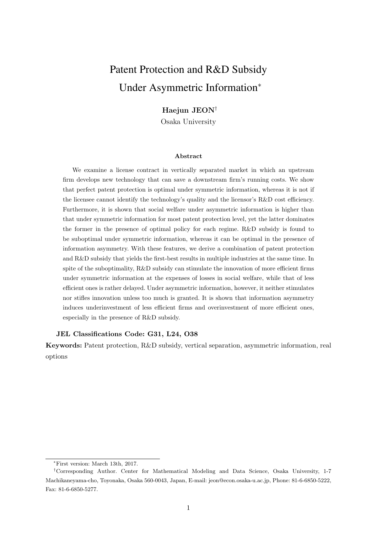# Patent Protection and R&D Subsidy Under Asymmetric Information<sup>∗</sup>

## Haejun JEON<sup>†</sup>

Osaka University

#### Abstract

We examine a license contract in vertically separated market in which an upstream firm develops new technology that can save a downstream firm's running costs. We show that perfect patent protection is optimal under symmetric information, whereas it is not if the licensee cannot identify the technology's quality and the licensor's R&D cost efficiency. Furthermore, it is shown that social welfare under asymmetric information is higher than that under symmetric information for most patent protection level, yet the latter dominates the former in the presence of optimal policy for each regime. R&D subsidy is found to be suboptimal under symmetric information, whereas it can be optimal in the presence of information asymmetry. With these features, we derive a combination of patent protection and R&D subsidy that yields the first-best results in multiple industries at the same time. In spite of the suboptimality,  $R\&D$  subsidy can stimulate the innovation of more efficient firms under symmetric information at the expenses of losses in social welfare, while that of less efficient ones is rather delayed. Under asymmetric information, however, it neither stimulates nor stifles innovation unless too much is granted. It is shown that information asymmetry induces underinvestment of less efficient firms and overinvestment of more efficient ones, especially in the presence of R&D subsidy.

#### JEL Classifications Code: G31, L24, O38

Keywords: Patent protection, R&D subsidy, vertical separation, asymmetric information, real options

<sup>∗</sup>First version: March 13th, 2017.

<sup>†</sup>Corresponding Author. Center for Mathematical Modeling and Data Science, Osaka University, 1-7 Machikaneyama-cho, Toyonaka, Osaka 560-0043, Japan, E-mail: jeon@econ.osaka-u.ac.jp, Phone: 81-6-6850-5222, Fax: 81-6-6850-5277.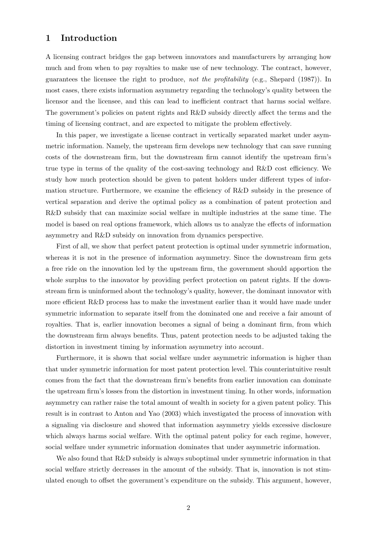## 1 Introduction

A licensing contract bridges the gap between innovators and manufacturers by arranging how much and from when to pay royalties to make use of new technology. The contract, however, guarantees the licensee the right to produce, not the profitability (e.g., Shepard (1987)). In most cases, there exists information asymmetry regarding the technology's quality between the licensor and the licensee, and this can lead to inefficient contract that harms social welfare. The government's policies on patent rights and R&D subsidy directly affect the terms and the timing of licensing contract, and are expected to mitigate the problem effectively.

In this paper, we investigate a license contract in vertically separated market under asymmetric information. Namely, the upstream firm develops new technology that can save running costs of the downstream firm, but the downstream firm cannot identify the upstream firm's true type in terms of the quality of the cost-saving technology and R&D cost efficiency. We study how much protection should be given to patent holders under different types of information structure. Furthermore, we examine the efficiency of R&D subsidy in the presence of vertical separation and derive the optimal policy as a combination of patent protection and R&D subsidy that can maximize social welfare in multiple industries at the same time. The model is based on real options framework, which allows us to analyze the effects of information asymmetry and R&D subsidy on innovation from dynamics perspective.

First of all, we show that perfect patent protection is optimal under symmetric information, whereas it is not in the presence of information asymmetry. Since the downstream firm gets a free ride on the innovation led by the upstream firm, the government should apportion the whole surplus to the innovator by providing perfect protection on patent rights. If the downstream firm is uninformed about the technology's quality, however, the dominant innovator with more efficient R&D process has to make the investment earlier than it would have made under symmetric information to separate itself from the dominated one and receive a fair amount of royalties. That is, earlier innovation becomes a signal of being a dominant firm, from which the downstream firm always benefits. Thus, patent protection needs to be adjusted taking the distortion in investment timing by information asymmetry into account.

Furthermore, it is shown that social welfare under asymmetric information is higher than that under symmetric information for most patent protection level. This counterintuitive result comes from the fact that the downstream firm's benefits from earlier innovation can dominate the upstream firm's losses from the distortion in investment timing. In other words, information asymmetry can rather raise the total amount of wealth in society for a given patent policy. This result is in contrast to Anton and Yao (2003) which investigated the process of innovation with a signaling via disclosure and showed that information asymmetry yields excessive disclosure which always harms social welfare. With the optimal patent policy for each regime, however, social welfare under symmetric information dominates that under asymmetric information.

We also found that  $R&D$  subsidy is always suboptimal under symmetric information in that social welfare strictly decreases in the amount of the subsidy. That is, innovation is not stimulated enough to offset the government's expenditure on the subsidy. This argument, however,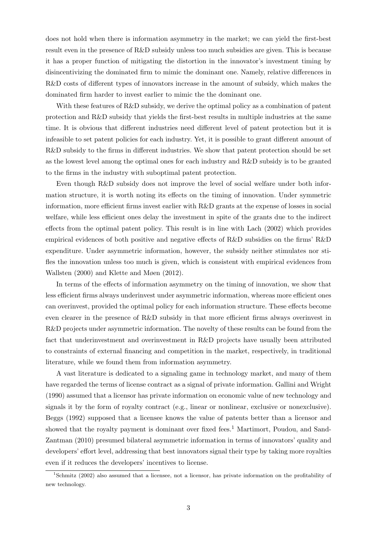does not hold when there is information asymmetry in the market; we can yield the first-best result even in the presence of R&D subsidy unless too much subsidies are given. This is because it has a proper function of mitigating the distortion in the innovator's investment timing by disincentivizing the dominated firm to mimic the dominant one. Namely, relative differences in R&D costs of different types of innovators increase in the amount of subsidy, which makes the dominated firm harder to invest earlier to mimic the the dominant one.

With these features of R&D subsidy, we derive the optimal policy as a combination of patent protection and R&D subsidy that yields the first-best results in multiple industries at the same time. It is obvious that different industries need different level of patent protection but it is infeasible to set patent policies for each industry. Yet, it is possible to grant different amount of R&D subsidy to the firms in different industries. We show that patent protection should be set as the lowest level among the optimal ones for each industry and R&D subsidy is to be granted to the firms in the industry with suboptimal patent protection.

Even though R&D subsidy does not improve the level of social welfare under both information structure, it is worth noting its effects on the timing of innovation. Under symmetric information, more efficient firms invest earlier with R&D grants at the expense of losses in social welfare, while less efficient ones delay the investment in spite of the grants due to the indirect effects from the optimal patent policy. This result is in line with Lach (2002) which provides empirical evidences of both positive and negative effects of R&D subsidies on the firms' R&D expenditure. Under asymmetric information, however, the subsidy neither stimulates nor stifles the innovation unless too much is given, which is consistent with empirical evidences from Wallsten (2000) and Klette and Møen (2012).

In terms of the effects of information asymmetry on the timing of innovation, we show that less efficient firms always underinvest under asymmetric information, whereas more efficient ones can overinvest, provided the optimal policy for each information structure. These effects become even clearer in the presence of R&D subsidy in that more efficient firms always overinvest in R&D projects under asymmetric information. The novelty of these results can be found from the fact that underinvestment and overinvestment in R&D projects have usually been attributed to constraints of external financing and competition in the market, respectively, in traditional literature, while we found them from information asymmetry.

A vast literature is dedicated to a signaling game in technology market, and many of them have regarded the terms of license contract as a signal of private information. Gallini and Wright (1990) assumed that a licensor has private information on economic value of new technology and signals it by the form of royalty contract (e.g., linear or nonlinear, exclusive or nonexclusive). Beggs (1992) supposed that a licensee knows the value of patents better than a licensor and showed that the royalty payment is dominant over fixed fees.<sup>1</sup> Martimort, Poudou, and Sand-Zantman (2010) presumed bilateral asymmetric information in terms of innovators' quality and developers' effort level, addressing that best innovators signal their type by taking more royalties even if it reduces the developers' incentives to license.

<sup>1</sup>Schmitz (2002) also assumed that a licensee, not a licensor, has private information on the profitability of new technology.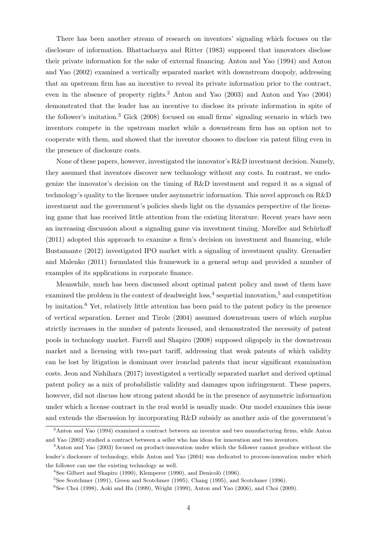There has been another stream of research on inventors' signaling which focuses on the disclosure of information. Bhattacharya and Ritter (1983) supposed that innovators disclose their private information for the sake of external financing. Anton and Yao (1994) and Anton and Yao (2002) examined a vertically separated market with downstream duopoly, addressing that an upstream firm has an incentive to reveal its private information prior to the contract, even in the absence of property rights.<sup>2</sup> Anton and Yao (2003) and Anton and Yao (2004) demonstrated that the leader has an incentive to disclose its private information in spite of the follower's imitation.<sup>3</sup> Gick (2008) focused on small firms' signaling scenario in which two inventors compete in the upstream market while a downstream firm has an option not to cooperate with them, and showed that the inventor chooses to disclose via patent filing even in the presence of disclosure costs.

None of these papers, however, investigated the innovator's R&D investment decision. Namely, they assumed that inventors discover new technology without any costs. In contrast, we endogenize the innovator's decision on the timing of R&D investment and regard it as a signal of technology's quality to the licensee under asymmetric information. This novel approach on R&D investment and the government's policies sheds light on the dynamics perspective of the licensing game that has received little attention from the existing literature. Recent years have seen an increasing discussion about a signaling game via investment timing. Morellec and Schürhoff (2011) adopted this approach to examine a firm's decision on investment and financing, while Bustamante (2012) investigated IPO market with a signaling of investment quality. Grenadier and Malenko (2011) formulated this framework in a general setup and provided a number of examples of its applications in corporate finance.

Meanwhile, much has been discussed about optimal patent policy and most of them have examined the problem in the context of deadweight  $loss$ ,<sup>4</sup> sequetial innovation,<sup>5</sup> and competition by imitation.<sup>6</sup> Yet, relatively little attention has been paid to the patent policy in the presence of vertical separation. Lerner and Tirole (2004) assumed downstream users of which surplus strictly increases in the number of patents licensed, and demonstrated the necessity of patent pools in technology market. Farrell and Shapiro (2008) supposed oligopoly in the downstream market and a licensing with two-part tariff, addressing that weak patents of which validity can be lost by litigation is dominant over ironclad patents that incur significant examination costs. Jeon and Nishihara (2017) investigated a vertically separated market and derived optimal patent policy as a mix of probabilistic validity and damages upon infringement. These papers, however, did not discuss how strong patent should be in the presence of asymmetric information under which a license contract in the real world is usually made. Our model examines this issue and extends the discussion by incorporating R&D subsidy as another axis of the government's

<sup>2</sup>Anton and Yao (1994) examined a contract between an inventor and two manufacturing firms, while Anton and Yao (2002) studied a contract between a seller who has ideas for innovation and two inventors.

<sup>3</sup>Anton and Yao (2003) focused on product-innovation under which the follower cannot produce without the leader's disclosure of technology, while Anton and Yao (2004) was dedicated to process-innovation under which the follower can use the existing technology as well.

 $4$ See Gilbert and Shapiro (1990), Klemperer (1990), and Denicolò (1996).

<sup>5</sup>See Scotchmer (1991), Green and Scotchmer (1995), Chang (1995), and Scotchmer (1996).

 $6$ See Choi (1998), Aoki and Hu (1999), Wright (1999), Anton and Yao (2006), and Choi (2009).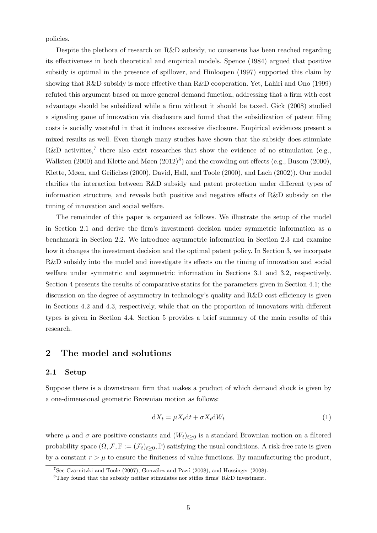policies.

Despite the plethora of research on R&D subsidy, no consensus has been reached regarding its effectiveness in both theoretical and empirical models. Spence (1984) argued that positive subsidy is optimal in the presence of spillover, and Hinloopen (1997) supported this claim by showing that R&D subsidy is more effective than R&D cooperation. Yet, Lahiri and Ono (1999) refuted this argument based on more general demand function, addressing that a firm with cost advantage should be subsidized while a firm without it should be taxed. Gick (2008) studied a signaling game of innovation via disclosure and found that the subsidization of patent filing costs is socially wasteful in that it induces excessive disclosure. Empirical evidences present a mixed results as well. Even though many studies have shown that the subsidy does stimulate R&D activities,<sup>7</sup> there also exist researches that show the evidence of no stimulation (e.g., Wallsten  $(2000)$  and Klette and Møen  $(2012)^8$ ) and the crowding out effects  $(e.g., Busom (2000))$ , Klette, Møen, and Griliches (2000), David, Hall, and Toole (2000), and Lach (2002)). Our model clarifies the interaction between R&D subsidy and patent protection under different types of information structure, and reveals both positive and negative effects of R&D subsidy on the timing of innovation and social welfare.

The remainder of this paper is organized as follows. We illustrate the setup of the model in Section 2.1 and derive the firm's investment decision under symmetric information as a benchmark in Section 2.2. We introduce asymmetric information in Section 2.3 and examine how it changes the investment decision and the optimal patent policy. In Section 3, we incorpate R&D subsidy into the model and investigate its effects on the timing of innovation and social welfare under symmetric and asymmetric information in Sections 3.1 and 3.2, respectively. Section 4 presents the results of comparative statics for the parameters given in Section 4.1; the discussion on the degree of asymmetry in technology's quality and R&D cost efficiency is given in Sections 4.2 and 4.3, respectively, while that on the proportion of innovators with different types is given in Section 4.4. Section 5 provides a brief summary of the main results of this research.

## 2 The model and solutions

#### 2.1 Setup

Suppose there is a downstream firm that makes a product of which demand shock is given by a one-dimensional geometric Brownian motion as follows:

$$
dX_t = \mu X_t dt + \sigma X_t dW_t
$$
\n(1)

where  $\mu$  and  $\sigma$  are positive constants and  $(W_t)_{t\geq 0}$  is a standard Brownian motion on a filtered probability space  $(\Omega, \mathcal{F}, \mathbb{F} := (\mathcal{F}_t)_{t>0}, \mathbb{P})$  satisfying the usual conditions. A risk-free rate is given by a constant  $r > \mu$  to ensure the finiteness of value functions. By manufacturing the product,

 $^7$ See Czarnitzki and Toole (2007), González and Pazó (2008), and Hussinger (2008).

<sup>8</sup>They found that the subsidy neither stimulates nor stifles firms' R&D investment.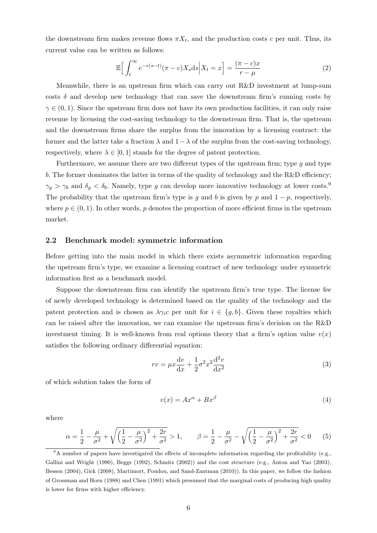the downstream firm makes revenue flows  $\pi X_t$ , and the production costs c per unit. Thus, its current value can be written as follows:

$$
\mathbb{E}\Big[\int_{t}^{\infty} e^{-r(s-t)}(\pi - c)X_s \, ds \Big| X_t = x\Big] = \frac{(\pi - c)x}{r - \mu} \tag{2}
$$

Meanwhile, there is an upstream firm which can carry out R&D investment at lump-sum costs  $\delta$  and develop new technology that can save the downstream firm's running costs by  $\gamma \in (0,1)$ . Since the upstream firm does not have its own production facilities, it can only raise revenue by licensing the cost-saving technology to the downstream firm. That is, the upstream and the downstream firms share the surplus from the innovation by a licensing contract: the former and the latter take a fraction  $\lambda$  and  $1-\lambda$  of the surplus from the cost-saving technology, respectively, where  $\lambda \in [0, 1]$  stands for the degree of patent protection.

Furthermore, we assume there are two different types of the upstream firm; type  $g$  and type b. The former dominates the latter in terms of the quality of technology and the  $R\&D$  efficiency;  $\gamma_g > \gamma_b$  and  $\delta_g < \delta_b$ . Namely, type g can develop more innovative technology at lower costs.<sup>9</sup> The probability that the upstream firm's type is g and b is given by p and  $1 - p$ , respectively, where  $p \in (0, 1)$ . In other words, p denotes the proportion of more efficient firms in the upstream market.

#### 2.2 Benchmark model: symmetric information

Before getting into the main model in which there exists asymmetric information regarding the upstream firm's type, we examine a licensing contract of new technology under symmetric information first as a benchmark model.

Suppose the downstream firm can identify the upstream firm's true type. The license fee of newly developed technology is determined based on the quality of the technology and the patent protection and is chosen as  $\lambda \gamma_i c$  per unit for  $i \in \{g, b\}$ . Given these royalties which can be raised after the innovation, we can examine the upstream firm's decision on the R&D investment timing. It is well-known from real options theory that a firm's option value  $v(x)$ satisfies the following ordinary differential equation:

$$
rv = \mu x \frac{\mathrm{d}v}{\mathrm{d}x} + \frac{1}{2} \sigma^2 x^2 \frac{\mathrm{d}^2 v}{\mathrm{d}x^2} \tag{3}
$$

of which solution takes the form of

$$
v(x) = Ax^{\alpha} + Bx^{\beta}
$$
 (4)

where

$$
\alpha = \frac{1}{2} - \frac{\mu}{\sigma^2} + \sqrt{\left(\frac{1}{2} - \frac{\mu}{\sigma^2}\right)^2 + \frac{2r}{\sigma^2}} > 1, \qquad \beta = \frac{1}{2} - \frac{\mu}{\sigma^2} - \sqrt{\left(\frac{1}{2} - \frac{\mu}{\sigma^2}\right)^2 + \frac{2r}{\sigma^2}} < 0 \tag{5}
$$

<sup>&</sup>lt;sup>9</sup>A number of papers have investigated the effects of incomplete information regarding the profitability (e.g., Gallini and Wright (1990), Beggs (1992), Schmitz (2002)) and the cost structure (e.g., Anton and Yao (2003), Bessen (2004), Gick (2008), Martimort, Poudou, and Sand-Zantman (2010)). In this paper, we follow the fashion of Grossman and Horn (1988) and Chen (1991) which presumed that the marginal costs of producing high quality is lower for firms with higher efficiency.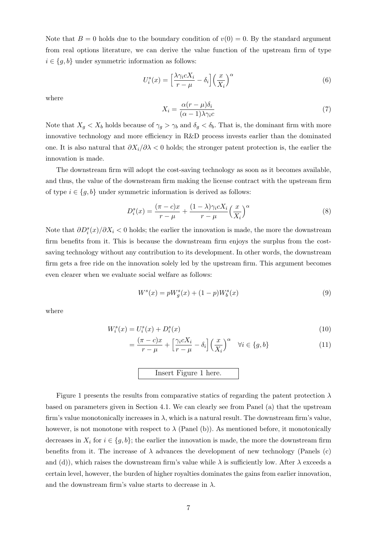Note that  $B = 0$  holds due to the boundary condition of  $v(0) = 0$ . By the standard argument from real options literature, we can derive the value function of the upstream firm of type  $i \in \{g, b\}$  under symmetric information as follows:

$$
U_i^s(x) = \left[\frac{\lambda \gamma_i c X_i}{r - \mu} - \delta_i\right] \left(\frac{x}{X_i}\right)^\alpha \tag{6}
$$

where

$$
X_i = \frac{\alpha(r - \mu)\delta_i}{(\alpha - 1)\lambda\gamma_i c} \tag{7}
$$

Note that  $X_g < X_b$  holds because of  $\gamma_g > \gamma_b$  and  $\delta_g < \delta_b$ . That is, the dominant firm with more innovative technology and more efficiency in R&D process invests earlier than the dominated one. It is also natural that  $\partial X_i/\partial \lambda < 0$  holds; the stronger patent protection is, the earlier the innovation is made.

The downstream firm will adopt the cost-saving technology as soon as it becomes available, and thus, the value of the downstream firm making the license contract with the upstream firm of type  $i \in \{g, b\}$  under symmetric information is derived as follows:

$$
D_i^s(x) = \frac{(\pi - c)x}{r - \mu} + \frac{(1 - \lambda)\gamma_i c X_i}{r - \mu} \left(\frac{x}{X_i}\right)^\alpha \tag{8}
$$

Note that  $\partial D_i^s(x)/\partial X_i$  < 0 holds; the earlier the innovation is made, the more the downstream firm benefits from it. This is because the downstream firm enjoys the surplus from the costsaving technology without any contribution to its development. In other words, the downstream firm gets a free ride on the innovation solely led by the upstream firm. This argument becomes even clearer when we evaluate social welfare as follows:

$$
W^{s}(x) = pW_{g}^{s}(x) + (1-p)W_{b}^{s}(x)
$$
\n(9)

where

$$
W_i^s(x) = U_i^s(x) + D_i^s(x)
$$
\n(10)

$$
= \frac{(\pi - c)x}{r - \mu} + \left[\frac{\gamma_i c X_i}{r - \mu} - \delta_i\right] \left(\frac{x}{X_i}\right)^{\alpha} \quad \forall i \in \{g, b\}
$$
 (11)

## Insert Figure 1 here.

Figure 1 presents the results from comparative statics of regarding the patent protection  $\lambda$ based on parameters given in Section 4.1. We can clearly see from Panel (a) that the upstream firm's value monotonically increases in  $\lambda$ , which is a natural result. The downstream firm's value, however, is not monotone with respect to  $\lambda$  (Panel (b)). As mentioned before, it monotonically decreases in  $X_i$  for  $i \in \{g, b\}$ ; the earlier the innovation is made, the more the downstream firm benefits from it. The increase of  $\lambda$  advances the development of new technology (Panels (c) and (d)), which raises the downstream firm's value while  $\lambda$  is sufficiently low. After  $\lambda$  exceeds a certain level, however, the burden of higher royalties dominates the gains from earlier innovation, and the downstream firm's value starts to decrease in  $\lambda$ .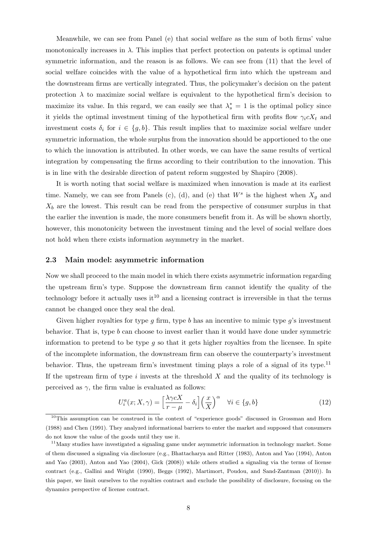Meanwhile, we can see from Panel (e) that social welfare as the sum of both firms' value monotonically increases in  $\lambda$ . This implies that perfect protection on patents is optimal under symmetric information, and the reason is as follows. We can see from (11) that the level of social welfare coincides with the value of a hypothetical firm into which the upstream and the downstream firms are vertically integrated. Thus, the policymaker's decision on the patent protection  $\lambda$  to maximize social welfare is equivalent to the hypothetical firm's decision to maximize its value. In this regard, we can easily see that  $\lambda_s^* = 1$  is the optimal policy since it yields the optimal investment timing of the hypothetical firm with profits flow  $\gamma_i c X_t$  and investment costs  $\delta_i$  for  $i \in \{g, b\}$ . This result implies that to maximize social welfare under symmetric information, the whole surplus from the innovation should be apportioned to the one to which the innovation is attributed. In other words, we can have the same results of vertical integration by compensating the firms according to their contribution to the innovation. This is in line with the desirable direction of patent reform suggested by Shapiro (2008).

It is worth noting that social welfare is maximized when innovation is made at its earliest time. Namely, we can see from Panels (c), (d), and (e) that  $W^s$  is the highest when  $X_g$  and  $X_b$  are the lowest. This result can be read from the perspective of consumer surplus in that the earlier the invention is made, the more consumers benefit from it. As will be shown shortly, however, this monotonicity between the investment timing and the level of social welfare does not hold when there exists information asymmetry in the market.

#### 2.3 Main model: asymmetric information

Now we shall proceed to the main model in which there exists asymmetric information regarding the upstream firm's type. Suppose the downstream firm cannot identify the quality of the technology before it actually uses  $it^{10}$  and a licensing contract is irreversible in that the terms cannot be changed once they seal the deal.

Given higher royalties for type  $g$  firm, type  $b$  has an incentive to mimic type  $g$ 's investment behavior. That is, type  $b$  can choose to invest earlier than it would have done under symmetric information to pretend to be type  $q$  so that it gets higher royalties from the licensee. In spite of the incomplete information, the downstream firm can observe the counterparty's investment behavior. Thus, the upstream firm's investment timing plays a role of a signal of its type.<sup>11</sup> If the upstream firm of type  $i$  invests at the threshold  $X$  and the quality of its technology is perceived as  $\gamma$ , the firm value is evaluated as follows:

$$
U_i^a(x; X, \gamma) = \left[\frac{\lambda \gamma c X}{r - \mu} - \delta_i\right] \left(\frac{x}{X}\right)^{\alpha} \quad \forall i \in \{g, b\}
$$
 (12)

<sup>&</sup>lt;sup>10</sup>This assumption can be construed in the context of "experience goods" discussed in Grossman and Horn (1988) and Chen (1991). They analyzed informational barriers to enter the market and supposed that consumers do not know the value of the goods until they use it.

<sup>&</sup>lt;sup>11</sup>Many studies have investigated a signaling game under asymmetric information in technology market. Some of them discussed a signaling via disclosure (e.g., Bhattacharya and Ritter (1983), Anton and Yao (1994), Anton and Yao (2003), Anton and Yao (2004), Gick (2008)) while others studied a signaling via the terms of license contract (e.g., Gallini and Wright (1990), Beggs (1992), Martimort, Poudou, and Sand-Zantman (2010)). In this paper, we limit ourselves to the royalties contract and exclude the possibility of disclosure, focusing on the dynamics perspective of license contract.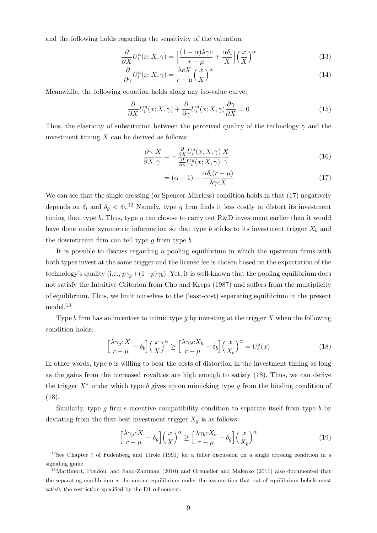and the following holds regarding the sensitivity of the valuation:

$$
\frac{\partial}{\partial X}U_i^a(x;X,\gamma) = \left[\frac{(1-\alpha)\lambda\gamma c}{r-\mu} + \frac{\alpha\delta_i}{X}\right] \left(\frac{x}{X}\right)^\alpha \tag{13}
$$

$$
\frac{\partial}{\partial \gamma} U_i^a(x; X, \gamma) = \frac{\lambda c X}{r - \mu} \left(\frac{x}{X}\right)^\alpha \tag{14}
$$

Meanwhile, the following equation holds along any iso-value curve:

$$
\frac{\partial}{\partial X}U_i^a(x;X,\gamma) + \frac{\partial}{\partial \gamma}U_i^a(x;X,\gamma)\frac{\partial \gamma}{\partial X} = 0
$$
\n(15)

Thus, the elasticity of substitution between the perceived quality of the technology  $\gamma$  and the investment timing  $X$  can be derived as follows:

$$
\frac{\partial \gamma}{\partial X} \frac{X}{\gamma} = -\frac{\frac{\partial}{\partial X} U_i^a(x; X, \gamma)}{\frac{\partial}{\partial \gamma} U_i^a(x; X, \gamma)} \frac{X}{\gamma}
$$
(16)

$$
= (\alpha - 1) - \frac{\alpha \delta_i (r - \mu)}{\lambda \gamma c X} \tag{17}
$$

We can see that the single crossing (or Spencer-Mirrless) condition holds in that (17) negatively depends on  $\delta_i$  and  $\delta_g < \delta_b$ <sup>12</sup> Namely, type g firm finds it less costly to distort its investment timing than type b. Thus, type  $g$  can choose to carry out R&D investment earlier than it would have done under symmetric information so that type b sticks to its investment trigger  $X_b$  and the downstream firm can tell type  $g$  from type  $b$ .

It is possible to discuss regarding a pooling equilibrium in which the upstream firms with both types invest at the same trigger and the license fee is chosen based on the expectation of the technology's quality (i.e.,  $p\gamma_q+(1-p)\gamma_b$ ). Yet, it is well-known that the pooling equilibrium does not satisfy the Intuitive Criterion from Cho and Kreps (1987) and suffers from the multiplicity of equilibrium. Thus, we limit ourselves to the (least-cost) separating equilibrium in the present model.<sup>13</sup>

Type b firm has an incentive to mimic type q by investing at the trigger  $X$  when the following condition holds:

$$
\left[\frac{\lambda\gamma_g cX}{r-\mu} - \delta_b\right] \left(\frac{x}{X}\right)^{\alpha} \ge \left[\frac{\lambda\gamma_b cX_b}{r-\mu} - \delta_b\right] \left(\frac{x}{X_b}\right)^{\alpha} = U_b^s(x)
$$
\n(18)

In other words, type  $b$  is willing to bear the costs of distortion in the investment timing as long as the gains from the increased royalties are high enough to satisfy (18). Thus, we can derive the trigger  $X^*$  under which type b gives up on mimicking type g from the binding condition of (18).

Similarly, type g firm's incentive compatibility condition to separate itself from type b by deviating from the first-best investment trigger  $X_q$  is as follows:

$$
\left[\frac{\lambda\gamma_g cX}{r-\mu} - \delta_g\right] \left(\frac{x}{X}\right)^{\alpha} \ge \left[\frac{\lambda\gamma_b cX_b}{r-\mu} - \delta_g\right] \left(\frac{x}{X_b}\right)^{\alpha} \tag{19}
$$

<sup>&</sup>lt;sup>12</sup>See Chapter 7 of Fudenberg and Tirole (1991) for a fuller discussion on a single crossing condition in a signaling game.

<sup>13</sup>Martimort, Poudou, and Sand-Zantman (2010) and Grenadier and Malenko (2011) also documented that the separating equilibrium is the unique equilibrium under the assumption that out-of equilibrium beliefs must satisfy the restriction specified by the D1 refinement.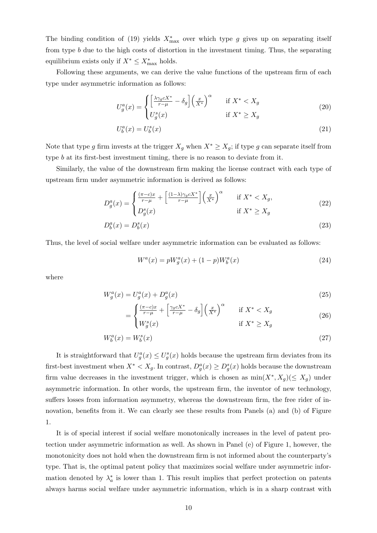The binding condition of (19) yields  $X^*_{\text{max}}$  over which type g gives up on separating itself from type b due to the high costs of distortion in the investment timing. Thus, the separating equilibrium exists only if  $X^* \leq X^*_{\text{max}}$  holds.

Following these arguments, we can derive the value functions of the upstream firm of each type under asymmetric information as follows:

$$
U_g^a(x) = \begin{cases} \left[\frac{\lambda \gamma_g c X^*}{r - \mu} - \delta_g\right] \left(\frac{x}{X^*}\right)^\alpha & \text{if } X^* < X_g\\ U_g^s(x) & \text{if } X^* \ge X_g \end{cases} \tag{20}
$$

$$
U_b^a(x) = U_b^s(x) \tag{21}
$$

Note that type g firm invests at the trigger  $X_g$  when  $X^* \ge X_g$ ; if type g can separate itself from type b at its first-best investment timing, there is no reason to deviate from it.

Similarly, the value of the downstream firm making the license contract with each type of upstream firm under asymmetric information is derived as follows:

$$
D_g^a(x) = \begin{cases} \frac{(\pi - c)x}{r - \mu} + \left[\frac{(1 - \lambda)\gamma_g cX^*}{r - \mu}\right] \left(\frac{x}{X^*}\right)^\alpha & \text{if } X^* < X_g, \\ D_g^s(x) & \text{if } X^* \ge X_g \end{cases} \tag{22}
$$

$$
D_b^a(x) = D_b^s(x) \tag{23}
$$

Thus, the level of social welfare under asymmetric information can be evaluated as follows:

$$
W^{a}(x) = pW_{g}^{a}(x) + (1-p)W_{b}^{a}(x)
$$
\n(24)

where

$$
W_g^a(x) = U_g^a(x) + D_g^a(x)
$$
\n(25)

$$
= \begin{cases} \frac{(\pi - c)x}{r - \mu} + \left[ \frac{\gamma_g c X^*}{r - \mu} - \delta_g \right] \left( \frac{x}{X^*} \right)^\alpha & \text{if } X^* < X_g\\ W_g^s(x) & \text{if } X^* \ge X_g \end{cases} \tag{26}
$$

$$
W_b^a(x) = W_b^s(x) \tag{27}
$$

It is straightforward that  $U_g^a(x) \leq U_g^s(x)$  holds because the upstream firm deviates from its first-best investment when  $X^* < X_g$ . In contrast,  $D_g^a(x) \geq D_g^s(x)$  holds because the downstream firm value decreases in the investment trigger, which is chosen as  $\min(X^*, X_g)(\leq X_g)$  under asymmetric information. In other words, the upstream firm, the inventor of new technology, suffers losses from information asymmetry, whereas the downstream firm, the free rider of innovation, benefits from it. We can clearly see these results from Panels (a) and (b) of Figure 1.

It is of special interest if social welfare monotonically increases in the level of patent protection under asymmetric information as well. As shown in Panel (e) of Figure 1, however, the monotonicity does not hold when the downstream firm is not informed about the counterparty's type. That is, the optimal patent policy that maximizes social welfare under asymmetric information denoted by  $\lambda_a^*$  is lower than 1. This result implies that perfect protection on patents always harms social welfare under asymmetric information, which is in a sharp contrast with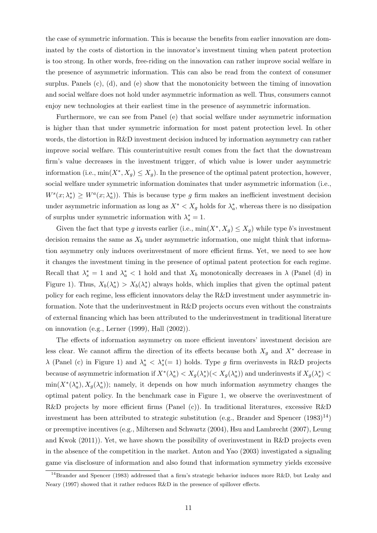the case of symmetric information. This is because the benefits from earlier innovation are dominated by the costs of distortion in the innovator's investment timing when patent protection is too strong. In other words, free-riding on the innovation can rather improve social welfare in the presence of asymmetric information. This can also be read from the context of consumer surplus. Panels  $(c)$ ,  $(d)$ , and  $(e)$  show that the monotonicity between the timing of innovation and social welfare does not hold under asymmetric information as well. Thus, consumers cannot enjoy new technologies at their earliest time in the presence of asymmetric information.

Furthermore, we can see from Panel (e) that social welfare under asymmetric information is higher than that under symmetric information for most patent protection level. In other words, the distortion in R&D investment decision induced by information asymmetry can rather improve social welfare. This counterintuitive result comes from the fact that the downstream firm's value decreases in the investment trigger, of which value is lower under asymmetric information (i.e.,  $\min(X^*, X_g) \leq X_g$ ). In the presence of the optimal patent protection, however, social welfare under symmetric information dominates that under asymmetric information (i.e.,  $W^{s}(x; \lambda_{s}^{*}) \geq W^{a}(x; \lambda_{a}^{*})$ . This is because type g firm makes an inefficient investment decision under asymmetric information as long as  $X^* < X_g$  holds for  $\lambda_a^*$ , whereas there is no dissipation of surplus under symmetric information with  $\lambda_s^* = 1$ .

Given the fact that type g invests earlier (i.e.,  $\min(X^*, X_g) \le X_g$ ) while type b's investment decision remains the same as  $X_b$  under asymmetric information, one might think that information asymmetry only induces overinvestment of more efficient firms. Yet, we need to see how it changes the investment timing in the presence of optimal patent protection for each regime. Recall that  $\lambda_s^* = 1$  and  $\lambda_a^* < 1$  hold and that  $X_b$  monotonically decreases in  $\lambda$  (Panel (d) in Figure 1). Thus,  $X_b(\lambda_a^*) > X_b(\lambda_s^*)$  always holds, which implies that given the optimal patent policy for each regime, less efficient innovators delay the R&D investment under asymmetric information. Note that the underinvestment in R&D projects occurs even without the constraints of external financing which has been attributed to the underinvestment in traditional literature on innovation (e.g., Lerner (1999), Hall (2002)).

The effects of information asymmetry on more efficient inventors' investment decision are less clear. We cannot affirm the direction of its effects because both  $X_g$  and  $X^*$  decrease in  $\lambda$  (Panel (c) in Figure 1) and  $\lambda_a^* < \lambda_s^*$  (= 1) holds. Type g firm overinvests in R&D projects because of asymmetric information if  $X^*(\lambda_a^*) < X_g(\lambda_s^*)(\langle X_g(\lambda_a^*))$  and underinvests if  $X_g(\lambda_s^*)$  $\min(X^*(\lambda_a^*), X_g(\lambda_a^*))$ ; namely, it depends on how much information asymmetry changes the optimal patent policy. In the benchmark case in Figure 1, we observe the overinvestment of R&D projects by more efficient firms (Panel (c)). In traditional literatures, excessive R&D investment has been attributed to strategic substitution (e.g., Brander and Spencer  $(1983)^{14}$ ) or preemptive incentives (e.g., Miltersen and Schwartz (2004), Hsu and Lambrecht (2007), Leung and Kwok (2011)). Yet, we have shown the possibility of overinvestment in R&D projects even in the absence of the competition in the market. Anton and Yao (2003) investigated a signaling game via disclosure of information and also found that information symmetry yields excessive

<sup>&</sup>lt;sup>14</sup>Brander and Spencer (1983) addressed that a firm's strategic behavior induces more R&D, but Leahy and Neary (1997) showed that it rather reduces R&D in the presence of spillover effects.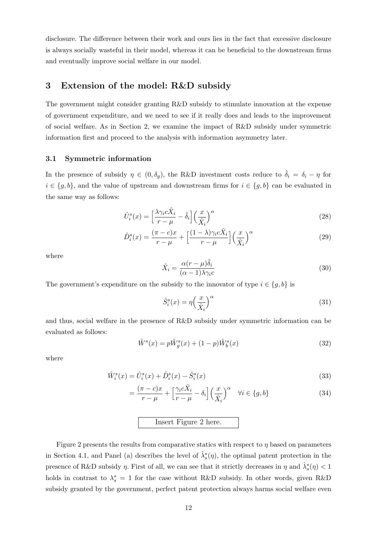disclosure. The difference between their work and ours lies in the fact that excessive disclosure is always socially wasteful in their model, whereas it can be beneficial to the downstream firms and eventually improve social welfare in our model.

## 3 Extension of the model: R&D subsidy

The government might consider granting R&D subsidy to stimulate innovation at the expense of government expenditure, and we need to see if it really does and leads to the improvement of social welfare. As in Section 2, we examine the impact of R&D subsidy under symmetric information first and proceed to the analysis with information asymmetry later.

#### 3.1 Symmetric information

In the presence of subsidy  $\eta \in (0, \delta_g)$ , the R&D investment costs reduce to  $\hat{\delta}_i = \delta_i - \eta$  for  $i \in \{g, b\}$ , and the value of upstream and downstream firms for  $i \in \{g, b\}$  can be evaluated in the same way as follows:

$$
\hat{U}_i^s(x) = \left[\frac{\lambda \gamma_i c \hat{X}_i}{r - \mu} - \hat{\delta}_i\right] \left(\frac{x}{\hat{X}_i}\right)^\alpha \tag{28}
$$

$$
\hat{D}_i^s(x) = \frac{(\pi - c)x}{r - \mu} + \left[\frac{(1 - \lambda)\gamma_i c \hat{X}_i}{r - \mu}\right] \left(\frac{x}{\hat{X}_i}\right)^\alpha \tag{29}
$$

where

$$
\hat{X}_i = \frac{\alpha (r - \mu)\hat{\delta}_i}{(\alpha - 1)\lambda \gamma_i c}
$$
\n(30)

The government's expenditure on the subsidy to the innovator of type  $i \in \{g, b\}$  is

$$
\hat{S}_i^s(x) = \eta \left(\frac{x}{\hat{X}_i}\right)^\alpha \tag{31}
$$

and thus, social welfare in the presence of R&D subsidy under symmetric information can be evaluated as follows:

$$
\hat{W}^s(x) = p\hat{W}^s_g(x) + (1-p)\hat{W}^s_b(x)
$$
\n(32)

where

$$
\hat{W}_i^s(x) = \hat{U}_i^s(x) + \hat{D}_i^s(x) - \hat{S}_i^s(x)
$$
\n(33)

$$
= \frac{(\pi - c)x}{r - \mu} + \left[\frac{\gamma_i c \hat{X}_i}{r - \mu} - \delta_i\right] \left(\frac{x}{\hat{X}_i}\right)^{\alpha} \quad \forall i \in \{g, b\}
$$
 (34)

## Insert Figure 2 here.

Figure 2 presents the results from comparative statics with respect to  $\eta$  based on parameters in Section 4.1, and Panel (a) describes the level of  $\hat{\lambda}_s^*(\eta)$ , the optimal patent protection in the presence of R&D subsidy  $\eta$ . First of all, we can see that it strictly decreases in  $\eta$  and  $\hat{\lambda}_s^*(\eta) < 1$ holds in contrast to  $\lambda_s^* = 1$  for the case without R&D subsidy. In other words, given R&D subsidy granted by the government, perfect patent protection always harms social welfare even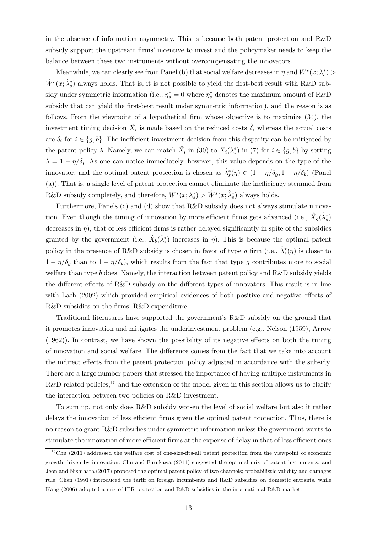in the absence of information asymmetry. This is because both patent protection and R&D subsidy support the upstream firms' incentive to invest and the policymaker needs to keep the balance between these two instruments without overcompensating the innovators.

Meanwhile, we can clearly see from Panel (b) that social welfare decreases in  $\eta$  and  $W^s(x; \lambda_s^*)$  $\hat{W}^s(x; \hat{\lambda}_s^*)$  always holds. That is, it is not possible to yield the first-best result with R&D subsidy under symmetric information (i.e.,  $\eta_s^* = 0$  where  $\eta_s^*$  denotes the maximum amount of R&D subsidy that can yield the first-best result under symmetric information), and the reason is as follows. From the viewpoint of a hypothetical firm whose objective is to maximize (34), the investment timing decision  $\hat{X}_i$  is made based on the reduced costs  $\hat{\delta}_i$  whereas the actual costs are  $\delta_i$  for  $i \in \{g, b\}$ . The inefficient investment decision from this disparity can be mitigated by the patent policy  $\lambda$ . Namely, we can match  $\hat{X}_i$  in (30) to  $X_i(\lambda_s^*)$  in (7) for  $i \in \{g, b\}$  by setting  $\lambda = 1 - \eta/\delta_i$ . As one can notice immediately, however, this value depends on the type of the innovator, and the optimal patent protection is chosen as  $\hat{\lambda}_s^*(\eta) \in (1 - \eta/\delta_g, 1 - \eta/\delta_b)$  (Panel (a)). That is, a single level of patent protection cannot eliminate the inefficiency stemmed from R&D subsidy completely, and therefore,  $W^s(x; \lambda_s^*) > \hat{W}^s(x; \hat{\lambda}_s^*)$  always holds.

Furthermore, Panels (c) and (d) show that R&D subsidy does not always stimulate innovation. Even though the timing of innovation by more efficient firms gets advanced (i.e.,  $\hat{X}_g(\hat{\lambda}_s^*)$ decreases in  $\eta$ ), that of less efficient firms is rather delayed significantly in spite of the subsidies granted by the government (i.e.,  $\hat{X}_b(\hat{\lambda}_s^*)$  increases in  $\eta$ ). This is because the optimal patent policy in the presence of R&D subsidy is chosen in favor of type g firm (i.e.,  $\hat{\lambda}_s^*(\eta)$  is closer to  $1 - \eta/\delta_q$  than to  $1 - \eta/\delta_b$ , which results from the fact that type g contributes more to social welfare than type b does. Namely, the interaction between patent policy and R&D subsidy yields the different effects of R&D subsidy on the different types of innovators. This result is in line with Lach (2002) which provided empirical evidences of both positive and negative effects of R&D subsidies on the firms' R&D expenditure.

Traditional literatures have supported the government's R&D subsidy on the ground that it promotes innovation and mitigates the underinvestment problem (e.g., Nelson (1959), Arrow (1962)). In contrast, we have shown the possibility of its negative effects on both the timing of innovation and social welfare. The difference comes from the fact that we take into account the indirect effects from the patent protection policy adjusted in accordance with the subsidy. There are a large number papers that stressed the importance of having multiple instruments in  $R&D$  related policies,<sup>15</sup> and the extension of the model given in this section allows us to clarify the interaction between two policies on R&D investment.

To sum up, not only does R&D subsidy worsen the level of social welfare but also it rather delays the innovation of less efficient firms given the optimal patent protection. Thus, there is no reason to grant R&D subsidies under symmetric information unless the government wants to stimulate the innovation of more efficient firms at the expense of delay in that of less efficient ones

<sup>15</sup>Chu (2011) addressed the welfare cost of one-size-fits-all patent protection from the viewpoint of economic growth driven by innovation. Chu and Furukawa (2011) suggested the optimal mix of patent instruments, and Jeon and Nishihara (2017) proposed the optimal patent policy of two channels; probabilistic validity and damages rule. Chen (1991) introduced the tariff on foreign incumbents and R&D subsidies on domestic entrants, while Kang (2006) adopted a mix of IPR protection and R&D subsidies in the international R&D market.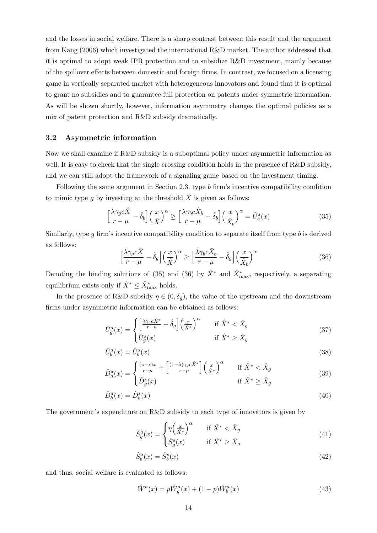and the losses in social welfare. There is a sharp contrast between this result and the argument from Kang (2006) which investigated the international R&D market. The author addressed that it is optimal to adopt weak IPR protection and to subsidize R&D investment, mainly because of the spillover effects between domestic and foreign firms. In contrast, we focused on a licensing game in vertically separated market with heterogeneous innovators and found that it is optimal to grant no subsidies and to guarantee full protection on patents under symmetric information. As will be shown shortly, however, information asymmetry changes the optimal policies as a mix of patent protection and R&D subsidy dramatically.

#### 3.2 Asymmetric information

Now we shall examine if R&D subsidy is a suboptimal policy under asymmetric information as well. It is easy to check that the single crossing condition holds in the presence of  $R\&D$  subsidy, and we can still adopt the framework of a signaling game based on the investment timing.

Following the same argument in Section 2.3, type b firm's incentive compatibility condition to mimic type g by investing at the threshold  $\hat{X}$  is given as follows:

$$
\left[\frac{\lambda\gamma_g c\hat{X}}{r-\mu} - \hat{\delta}_b\right] \left(\frac{x}{\hat{X}}\right)^{\alpha} \ge \left[\frac{\lambda\gamma_b c\hat{X}_b}{r-\mu} - \hat{\delta}_b\right] \left(\frac{x}{\hat{X}_b}\right)^{\alpha} = \hat{U}_b^s(x)
$$
\n(35)

Similarly, type g firm's incentive compatibility condition to separate itself from type b is derived as follows:

$$
\left[\frac{\lambda\gamma_g c\hat{X}}{r-\mu} - \hat{\delta}_g\right] \left(\frac{x}{\hat{X}}\right)^\alpha \ge \left[\frac{\lambda\gamma_b c\hat{X}_b}{r-\mu} - \hat{\delta}_g\right] \left(\frac{x}{\hat{X}_b}\right)^\alpha \tag{36}
$$

Denoting the binding solutions of (35) and (36) by  $\hat{X}^*$  and  $\hat{X}^*_{\text{max}}$ , respectively, a separating equilibrium exists only if  $\hat{X}^* \leq \hat{X}^*_{\text{max}}$  holds.

In the presence of R&D subsidy  $\eta \in (0, \delta_g)$ , the value of the upstream and the downstream firms under asymmetric information can be obtained as follows:

$$
\hat{U}_g^a(x) = \begin{cases}\n\left[\frac{\lambda \gamma_g c \hat{X}^*}{r - \mu} - \hat{\delta}_g\right] \left(\frac{x}{\hat{X}^*}\right)^\alpha & \text{if } \hat{X}^* < \hat{X}_g \\
\hat{U}_g^s(x) & \text{if } \hat{X}^* \ge \hat{X}_g\n\end{cases} \tag{37}
$$

$$
\hat{U}_b^a(x) = \hat{U}_b^s(x) \tag{38}
$$

$$
\hat{D}_g^a(x) = \begin{cases}\n\frac{(\pi - c)x}{r - \mu} + \left[\frac{(1 - \lambda)\gamma_g c \hat{X}^*}{r - \mu}\right] \left(\frac{x}{\hat{X}^*}\right)^\alpha & \text{if } \hat{X}^* < \hat{X}_g \\
\hat{D}_g^s(x) & \text{if } \hat{X}^* \ge \hat{X}_g\n\end{cases} \tag{39}
$$

$$
\hat{D}_b^a(x) = \hat{D}_b^s(x) \tag{40}
$$

The government's expenditure on R&D subsidy to each type of innovators is given by

$$
\hat{S}_g^a(x) = \begin{cases} \eta\left(\frac{x}{\hat{X}^*}\right)^\alpha & \text{if } \hat{X}^* < \hat{X}_g \\ \hat{S}_g^s(x) & \text{if } \hat{X}^* \ge \hat{X}_g \end{cases} \tag{41}
$$

$$
\hat{S}_b^a(x) = \hat{S}_b^s(x) \tag{42}
$$

and thus, social welfare is evaluated as follows:

$$
\hat{W}^{a}(x) = p\hat{W}^{a}_{g}(x) + (1-p)\hat{W}^{a}_{b}(x)
$$
\n(43)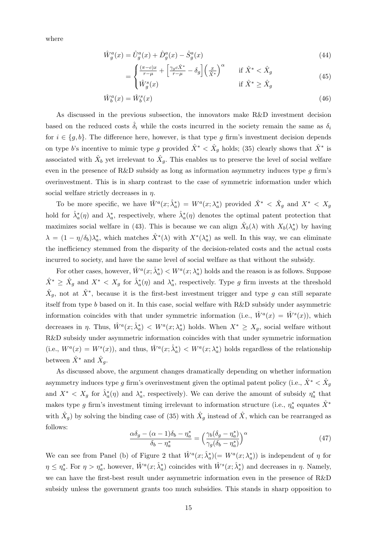where

$$
\hat{W}_g^a(x) = \hat{U}_g^a(x) + \hat{D}_g^a(x) - \hat{S}_g^a(x)
$$
\n(44)

$$
= \begin{cases} \frac{(\pi - c)x}{r - \mu} + \left[ \frac{\gamma_g c \hat{X}^*}{r - \mu} - \delta_g \right] \left( \frac{x}{\hat{X}^*} \right)^\alpha & \text{if } \hat{X}^* < \hat{X}_g\\ \hat{W}_g^s(x) & \text{if } \hat{X}^* \ge \hat{X}_g \end{cases} \tag{45}
$$

$$
\hat{W}_b^a(x) = \hat{W}_b^s(x) \tag{46}
$$

As discussed in the previous subsection, the innovators make R&D investment decision based on the reduced costs  $\hat{\delta}_i$  while the costs incurred in the society remain the same as  $\delta_i$ for  $i \in \{g, b\}$ . The difference here, however, is that type g firm's investment decision depends on type b's incentive to mimic type g provided  $\hat{X}^* < \hat{X}_g$  holds; (35) clearly shows that  $\hat{X}^*$  is associated with  $\hat{X}_b$  yet irrelevant to  $\hat{X}_g$ . This enables us to preserve the level of social welfare even in the presence of R&D subsidy as long as information asymmetry induces type  $q$  firm's overinvestment. This is in sharp contrast to the case of symmetric information under which social welfare strictly decreases in  $\eta$ .

To be more specific, we have  $\hat{W}^a(x; \hat{\lambda}_a^*) = W^a(x; \lambda_a^*)$  provided  $\hat{X}^* < \hat{X}_g$  and  $X^* < X_g$ hold for  $\hat{\lambda}_a^*(\eta)$  and  $\lambda_a^*$ , respectively, where  $\hat{\lambda}_a^*(\eta)$  denotes the optimal patent protection that maximizes social welfare in (43). This is because we can align  $\hat{X}_b(\lambda)$  with  $X_b(\lambda_a^*)$  by having  $\lambda = (1 - \eta/\delta_b)\lambda_a^*$ , which matches  $\hat{X}^*(\lambda)$  with  $X^*(\lambda_a^*)$  as well. In this way, we can eliminate the inefficiency stemmed from the disparity of the decision-related costs and the actual costs incurred to society, and have the same level of social welfare as that without the subsidy.

For other cases, however,  $\hat{W}^a(x; \hat{\lambda}_a^*) \langle W^a(x; \lambda_a^*) \rangle$  holds and the reason is as follows. Suppose  $\hat{X}^* \geq \hat{X}_g$  and  $X^* < X_g$  for  $\hat{\lambda}_a^*(\eta)$  and  $\lambda_a^*$ , respectively. Type g firm invests at the threshold  $\hat{X}_g$ , not at  $\hat{X}^*$ , because it is the first-best investment trigger and type g can still separate itself from type b based on it. In this case, social welfare with R&D subsidy under asymmetric information coincides with that under symmetric information (i.e.,  $\hat{W}^a(x) = \hat{W}^s(x)$ ), which decreases in  $\eta$ . Thus,  $\hat{W}^a(x; \hat{\lambda}_a^*)$  <  $W^a(x; \lambda_a^*)$  holds. When  $X^* \geq X_g$ , social welfare without R&D subsidy under asymmetric information coincides with that under symmetric information (i.e.,  $W^a(x) = W^s(x)$ ), and thus,  $\hat{W}^a(x; \hat{\lambda}_a^*) \langle W^a(x; \lambda_a^*) \rangle$  holds regardless of the relationship between  $\hat{X}^*$  and  $\hat{X}_g$ .

As discussed above, the argument changes dramatically depending on whether information asymmetry induces type g firm's overinvestment given the optimal patent policy (i.e.,  $\hat{X}^* < \hat{X}_g$ and  $X^* < X_g$  for  $\hat{\lambda}_a^*(\eta)$  and  $\lambda_a^*$ , respectively). We can derive the amount of subsidy  $\eta_a^*$  that makes type g firm's investment timing irrelevant to information structure (i.e.,  $\eta_a^*$  equates  $\hat{X}^*$ with  $\hat{X}_g$ ) by solving the binding case of (35) with  $\hat{X}_g$  instead of  $\hat{X}$ , which can be rearranged as follows:

$$
\frac{\alpha \delta_g - (\alpha - 1)\delta_b - \eta_a^*}{\delta_b - \eta_a^*} = \left(\frac{\gamma_b(\delta_g - \eta_a^*)}{\gamma_g(\delta_b - \eta_a^*)}\right)^\alpha \tag{47}
$$

We can see from Panel (b) of Figure 2 that  $\hat{W}^a(x; \hat{\lambda}_a^*)$  (=  $W^a(x; \lambda_a^*)$ ) is independent of  $\eta$  for  $\eta \leq \eta_a^*$ . For  $\eta > \eta_a^*$ , however,  $\hat{W}^a(x; \hat{\lambda}_a^*)$  coincides with  $\hat{W}^s(x; \hat{\lambda}_s^*)$  and decreases in  $\eta$ . Namely, we can have the first-best result under asymmetric information even in the presence of R&D subsidy unless the government grants too much subsidies. This stands in sharp opposition to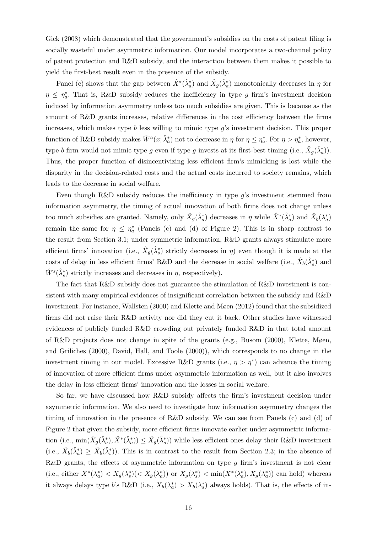Gick (2008) which demonstrated that the government's subsidies on the costs of patent filing is socially wasteful under asymmetric information. Our model incorporates a two-channel policy of patent protection and R&D subsidy, and the interaction between them makes it possible to yield the first-best result even in the presence of the subsidy.

Panel (c) shows that the gap between  $\hat{X}^*(\hat{\lambda}_a^*)$  and  $\hat{X}_g(\hat{\lambda}_a^*)$  monotonically decreases in  $\eta$  for  $\eta \leq \eta_a^*$ . That is, R&D subsidy reduces the inefficiency in type g firm's investment decision induced by information asymmetry unless too much subsidies are given. This is because as the amount of R&D grants increases, relative differences in the cost efficiency between the firms increases, which makes type  $b$  less willing to mimic type  $g$ 's investment decision. This proper function of R&D subsidy makes  $\hat{W}^a(x; \hat{\lambda}_a^*)$  not to decrease in  $\eta$  for  $\eta \leq \eta_a^*$ . For  $\eta > \eta_a^*$ , however, type b firm would not mimic type g even if type g invests at its first-best timing (i.e.,  $\hat{X}_g(\hat{\lambda}_a^*)$ ). Thus, the proper function of disincentivizing less efficient firm's mimicking is lost while the disparity in the decision-related costs and the actual costs incurred to society remains, which leads to the decrease in social welfare.

Even though R&D subsidy reduces the inefficiency in type  $g$ 's investment stemmed from information asymmetry, the timing of actual innovation of both firms does not change unless too much subsidies are granted. Namely, only  $\hat{X}_g(\hat{\lambda}_a^*)$  decreases in  $\eta$  while  $\hat{X}^*(\hat{\lambda}_a^*)$  and  $\hat{X}_b(\lambda_a^*)$ remain the same for  $\eta \leq \eta_a^*$  (Panels (c) and (d) of Figure 2). This is in sharp contrast to the result from Section 3.1; under symmetric information, R&D grants always stimulate more efficient firms' innovation (i.e.,  $\hat{X}_g(\hat{\lambda}_s^*)$  strictly decreases in  $\eta$ ) even though it is made at the costs of delay in less efficient firms' R&D and the decrease in social welfare (i.e.,  $\hat{X}_b(\hat{\lambda}_s^*)$ ) and  $\hat{W}^{s}(\hat{\lambda}_{s}^{*})$  strictly increases and decreases in  $\eta$ , respectively).

The fact that R&D subsidy does not guarantee the stimulation of R&D investment is consistent with many empirical evidences of insignificant correlation between the subsidy and R&D investment. For instance, Wallsten (2000) and Klette and Møen (2012) found that the subsidized firms did not raise their R&D activity nor did they cut it back. Other studies have witnessed evidences of publicly funded R&D crowding out privately funded R&D in that total amount of R&D projects does not change in spite of the grants (e.g., Busom (2000), Klette, Møen, and Griliches (2000), David, Hall, and Toole (2000)), which corresponds to no change in the investment timing in our model. Excessive R&D grants (i.e.,  $\eta > \eta^*$ ) can advance the timing of innovation of more efficient firms under asymmetric information as well, but it also involves the delay in less efficient firms' innovation and the losses in social welfare.

So far, we have discussed how R&D subsidy affects the firm's investment decision under asymmetric information. We also need to investigate how information asymmetry changes the timing of innovation in the presence of R&D subsidy. We can see from Panels (c) and (d) of Figure 2 that given the subsidy, more efficient firms innovate earlier under asymmetric information (i.e.,  $\min(\hat{X}_g(\hat{\lambda}_a^*,\hat{X}^*(\hat{\lambda}_a^*)) \leq \hat{X}_g(\hat{\lambda}_s^*)$ ) while less efficient ones delay their R&D investment (i.e.,  $\hat{X}_{b}(\hat{\lambda}_{a}^{*}) \geq \hat{X}_{b}(\hat{\lambda}_{s}^{*})$ ). This is in contrast to the result from Section 2.3; in the absence of R&D grants, the effects of asymmetric information on type  $g$  firm's investment is not clear (i.e., either  $X^*(\lambda_a^*) < X_g(\lambda_s^*)(\langle X_g(\lambda_a^*)\rangle)$  or  $X_g(\lambda_s^*) < \min(X^*(\lambda_a^*), X_g(\lambda_a^*))$  can hold) whereas it always delays type b's R&D (i.e.,  $X_b(\lambda_a^*) > X_b(\lambda_s^*)$  always holds). That is, the effects of in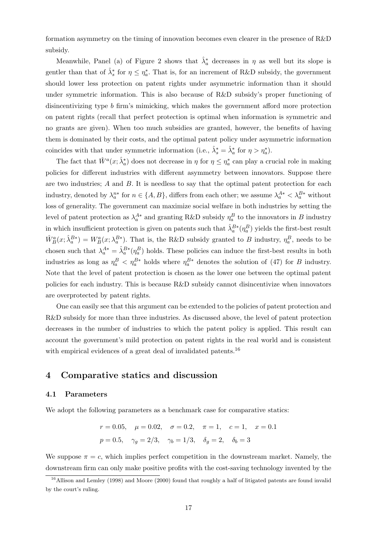formation asymmetry on the timing of innovation becomes even clearer in the presence of R&D subsidy.

Meanwhile, Panel (a) of Figure 2 shows that  $\hat{\lambda}_a^*$  decreases in  $\eta$  as well but its slope is gentler than that of  $\hat{\lambda}_s^*$  for  $\eta \leq \eta_a^*$ . That is, for an increment of R&D subsidy, the government should lower less protection on patent rights under asymmetric information than it should under symmetric information. This is also because of R&D subsidy's proper functioning of disincentivizing type b firm's mimicking, which makes the government afford more protection on patent rights (recall that perfect protection is optimal when information is symmetric and no grants are given). When too much subsidies are granted, however, the benefits of having them is dominated by their costs, and the optimal patent policy under asymmetric information coincides with that under symmetric information (i.e.,  $\hat{\lambda}_s^* = \hat{\lambda}_a^*$  for  $\eta > \eta_a^*$ ).

The fact that  $\hat{W}^a(x; \hat{\lambda}_a^*)$  does not decrease in  $\eta$  for  $\eta \leq \eta_a^*$  can play a crucial role in making policies for different industries with different asymmetry between innovators. Suppose there are two industries; A and B. It is needless to say that the optimal patent protection for each industry, denoted by  $\lambda_a^{n*}$  for  $n \in \{A, B\}$ , differs from each other; we assume  $\lambda_a^{A*} < \lambda_a^{B*}$  without loss of generality. The government can maximize social welfare in both industries by setting the level of patent protection as  $\lambda_a^{A*}$  and granting R&D subsidy  $\eta_a^B$  to the innovators in B industry in which insufficient protection is given on patents such that  $\hat{\lambda}_a^{B*}(\eta_a^B)$  yields the first-best result  $\hat{W}_{B}^{a}(x;\hat{\lambda}_{a}^{B*})=W_{B}^{a}(x;\lambda_{a}^{B*})$ . That is, the R&D subsidy granted to B industry,  $\eta_{a}^{B}$ , needs to be chosen such that  $\lambda_a^{A*} = \hat{\lambda}_a^{B*}(\eta_a^B)$  holds. These policies can induce the first-best results in both industries as long as  $\eta_a^B < \eta_a^{B*}$  holds where  $\eta_a^{B*}$  denotes the solution of (47) for B industry. Note that the level of patent protection is chosen as the lower one between the optimal patent policies for each industry. This is because R&D subsidy cannot disincentivize when innovators are overprotected by patent rights.

One can easily see that this argument can be extended to the policies of patent protection and R&D subsidy for more than three industries. As discussed above, the level of patent protection decreases in the number of industries to which the patent policy is applied. This result can account the government's mild protection on patent rights in the real world and is consistent with empirical evidences of a great deal of invalidated patents.<sup>16</sup>

## 4 Comparative statics and discussion

#### 4.1 Parameters

We adopt the following parameters as a benchmark case for comparative statics:

$$
r = 0.05
$$
,  $\mu = 0.02$ ,  $\sigma = 0.2$ ,  $\pi = 1$ ,  $c = 1$ ,  $x = 0.1$   
 $p = 0.5$ ,  $\gamma_g = 2/3$ ,  $\gamma_b = 1/3$ ,  $\delta_g = 2$ ,  $\delta_b = 3$ 

We suppose  $\pi = c$ , which implies perfect competition in the downstream market. Namely, the downstream firm can only make positive profits with the cost-saving technology invented by the

<sup>&</sup>lt;sup>16</sup>Allison and Lemley (1998) and Moore (2000) found that roughly a half of litigated patents are found invalid by the court's ruling.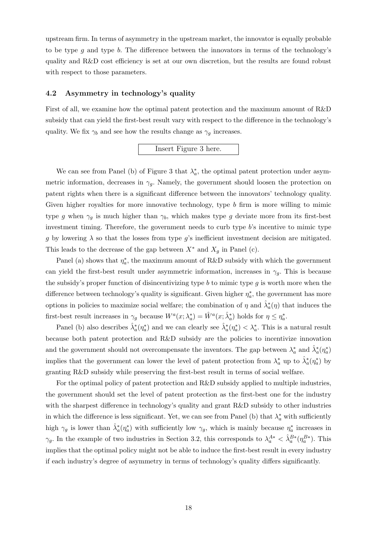upstream firm. In terms of asymmetry in the upstream market, the innovator is equally probable to be type  $g$  and type  $b$ . The difference between the innovators in terms of the technology's quality and R&D cost efficiency is set at our own discretion, but the results are found robust with respect to those parameters.

#### 4.2 Asymmetry in technology's quality

First of all, we examine how the optimal patent protection and the maximum amount of R&D subsidy that can yield the first-best result vary with respect to the difference in the technology's quality. We fix  $\gamma_b$  and see how the results change as  $\gamma_g$  increases.

## Insert Figure 3 here.

We can see from Panel (b) of Figure 3 that  $\lambda_a^*$ , the optimal patent protection under asymmetric information, decreases in  $\gamma_q$ . Namely, the government should loosen the protection on patent rights when there is a significant difference between the innovators' technology quality. Given higher royalties for more innovative technology, type b firm is more willing to mimic type g when  $\gamma_g$  is much higher than  $\gamma_b$ , which makes type g deviate more from its first-best investment timing. Therefore, the government needs to curb type  $b$ 's incentive to mimic type g by lowering  $\lambda$  so that the losses from type g's inefficient investment decision are mitigated. This leads to the decrease of the gap between  $X^*$  and  $X_q$  in Panel (c).

Panel (a) shows that  $\eta_a^*$ , the maximum amount of R&D subsidy with which the government can yield the first-best result under asymmetric information, increases in  $\gamma_q$ . This is because the subsidy's proper function of disincentivizing type b to mimic type  $g$  is worth more when the difference between technology's quality is significant. Given higher  $\eta_a^*$ , the government has more options in policies to maximize social welfare; the combination of  $\eta$  and  $\hat{\lambda}_a^*(\eta)$  that induces the first-best result increases in  $\gamma_g$  because  $W^a(x; \lambda_a^*) = \hat{W}^a(x; \hat{\lambda}_a^*)$  holds for  $\eta \leq \eta_a^*$ .

Panel (b) also describes  $\hat{\lambda}_a^*(\eta_a^*)$  and we can clearly see  $\hat{\lambda}_a^*(\eta_a^*) < \lambda_a^*$ . This is a natural result because both patent protection and R&D subsidy are the policies to incentivize innovation and the government should not overcompensate the inventors. The gap between  $\lambda_a^*$  and  $\hat{\lambda}_a^*(\eta_a^*)$ implies that the government can lower the level of patent protection from  $\lambda_a^*$  up to  $\hat{\lambda}_a^*(\eta_a^*)$  by granting R&D subsidy while preserving the first-best result in terms of social welfare.

For the optimal policy of patent protection and R&D subsidy applied to multiple industries, the government should set the level of patent protection as the first-best one for the industry with the sharpest difference in technology's quality and grant R&D subsidy to other industries in which the difference is less significant. Yet, we can see from Panel (b) that  $\lambda_a^*$  with sufficiently high  $\gamma_g$  is lower than  $\hat{\lambda}_a^*(\eta_a^*)$  with sufficiently low  $\gamma_g$ , which is mainly because  $\eta_a^*$  increases in  $\gamma_g$ . In the example of two industries in Section 3.2, this corresponds to  $\lambda_a^{A*} < \hat{\lambda}_a^{B*}(\eta_a^{B*})$ . This implies that the optimal policy might not be able to induce the first-best result in every industry if each industry's degree of asymmetry in terms of technology's quality differs significantly.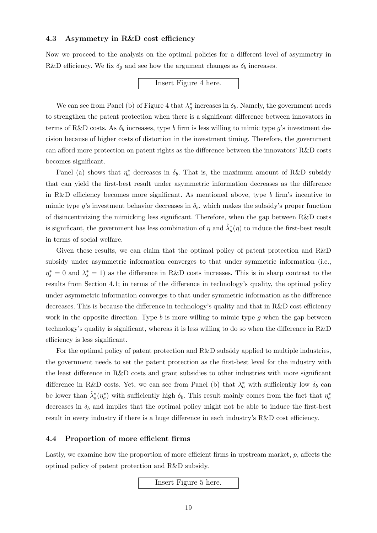#### 4.3 Asymmetry in R&D cost efficiency

Now we proceed to the analysis on the optimal policies for a different level of asymmetry in R&D efficiency. We fix  $\delta_q$  and see how the argument changes as  $\delta_b$  increases.

#### Insert Figure 4 here.

We can see from Panel (b) of Figure 4 that  $\lambda_a^*$  increases in  $\delta_b$ . Namely, the government needs to strengthen the patent protection when there is a significant difference between innovators in terms of R&D costs. As  $\delta_b$  increases, type b firm is less willing to mimic type g's investment decision because of higher costs of distortion in the investment timing. Therefore, the government can afford more protection on patent rights as the difference between the innovators' R&D costs becomes significant.

Panel (a) shows that  $\eta_a^*$  decreases in  $\delta_b$ . That is, the maximum amount of R&D subsidy that can yield the first-best result under asymmetric information decreases as the difference in R&D efficiency becomes more significant. As mentioned above, type b firm's incentive to mimic type g's investment behavior decreases in  $\delta_b$ , which makes the subsidy's proper function of disincentivizing the mimicking less significant. Therefore, when the gap between R&D costs is significant, the government has less combination of  $\eta$  and  $\hat{\lambda}_a^*(\eta)$  to induce the first-best result in terms of social welfare.

Given these results, we can claim that the optimal policy of patent protection and R&D subsidy under asymmetric information converges to that under symmetric information (i.e.,  $\eta_s^* = 0$  and  $\lambda_s^* = 1$ ) as the difference in R&D costs increases. This is in sharp contrast to the results from Section 4.1; in terms of the difference in technology's quality, the optimal policy under asymmetric information converges to that under symmetric information as the difference decreases. This is because the difference in technology's quality and that in R&D cost efficiency work in the opposite direction. Type  $b$  is more willing to mimic type  $g$  when the gap between technology's quality is significant, whereas it is less willing to do so when the difference in R&D efficiency is less significant.

For the optimal policy of patent protection and R&D subsidy applied to multiple industries, the government needs to set the patent protection as the first-best level for the industry with the least difference in R&D costs and grant subsidies to other industries with more significant difference in R&D costs. Yet, we can see from Panel (b) that  $\lambda_a^*$  with sufficiently low  $\delta_b$  can be lower than  $\hat{\lambda}_a^*(\eta_a^*)$  with sufficiently high  $\delta_b$ . This result mainly comes from the fact that  $\eta_a^*$ decreases in  $\delta_b$  and implies that the optimal policy might not be able to induce the first-best result in every industry if there is a huge difference in each industry's R&D cost efficiency.

#### 4.4 Proportion of more efficient firms

Lastly, we examine how the proportion of more efficient firms in upstream market,  $p$ , affects the optimal policy of patent protection and R&D subsidy.

Insert Figure 5 here.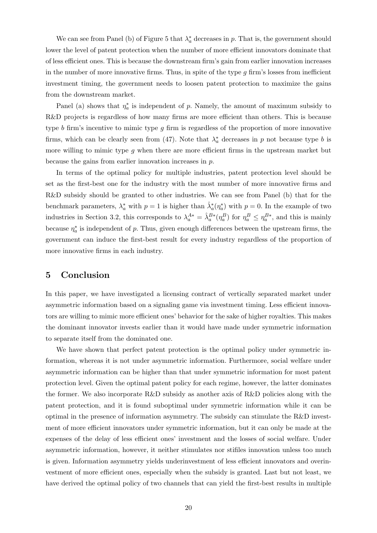We can see from Panel (b) of Figure 5 that  $\lambda_a^*$  decreases in p. That is, the government should lower the level of patent protection when the number of more efficient innovators dominate that of less efficient ones. This is because the downstream firm's gain from earlier innovation increases in the number of more innovative firms. Thus, in spite of the type  $g$  firm's losses from inefficient investment timing, the government needs to loosen patent protection to maximize the gains from the downstream market.

Panel (a) shows that  $\eta_a^*$  is independent of p. Namely, the amount of maximum subsidy to R&D projects is regardless of how many firms are more efficient than others. This is because type b firm's incentive to mimic type g firm is regardless of the proportion of more innovative firms, which can be clearly seen from (47). Note that  $\lambda_a^*$  decreases in p not because type b is more willing to mimic type g when there are more efficient firms in the upstream market but because the gains from earlier innovation increases in p.

In terms of the optimal policy for multiple industries, patent protection level should be set as the first-best one for the industry with the most number of more innovative firms and R&D subsidy should be granted to other industries. We can see from Panel (b) that for the benchmark parameters,  $\lambda_a^*$  with  $p=1$  is higher than  $\hat{\lambda}_a^*(\eta_a^*)$  with  $p=0$ . In the example of two industries in Section 3.2, this corresponds to  $\lambda_a^{A*} = \hat{\lambda}_a^{B*}(\eta_a^B)$  for  $\eta_a^B \leq \eta_a^{B*}$ , and this is mainly because  $\eta_a^*$  is independent of p. Thus, given enough differences between the upstream firms, the government can induce the first-best result for every industry regardless of the proportion of more innovative firms in each industry.

## 5 Conclusion

In this paper, we have investigated a licensing contract of vertically separated market under asymmetric information based on a signaling game via investment timing. Less efficient innovators are willing to mimic more efficient ones' behavior for the sake of higher royalties. This makes the dominant innovator invests earlier than it would have made under symmetric information to separate itself from the dominated one.

We have shown that perfect patent protection is the optimal policy under symmetric information, whereas it is not under asymmetric information. Furthermore, social welfare under asymmetric information can be higher than that under symmetric information for most patent protection level. Given the optimal patent policy for each regime, however, the latter dominates the former. We also incorporate R&D subsidy as another axis of R&D policies along with the patent protection, and it is found suboptimal under symmetric information while it can be optimal in the presence of information asymmetry. The subsidy can stimulate the R&D investment of more efficient innovators under symmetric information, but it can only be made at the expenses of the delay of less efficient ones' investment and the losses of social welfare. Under asymmetric information, however, it neither stimulates nor stifiles innovation unless too much is given. Information asymmetry yields underinvestment of less efficient innovators and overinvestment of more efficient ones, especially when the subsidy is granted. Last but not least, we have derived the optimal policy of two channels that can yield the first-best results in multiple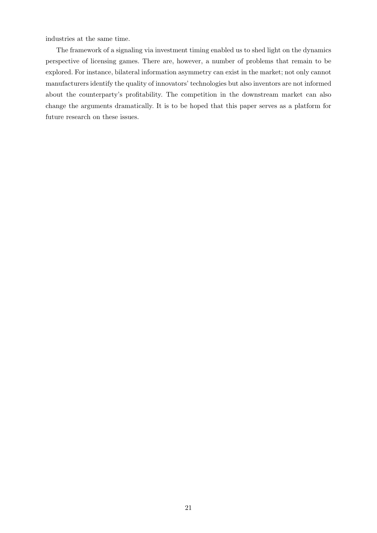industries at the same time.

The framework of a signaling via investment timing enabled us to shed light on the dynamics perspective of licensing games. There are, however, a number of problems that remain to be explored. For instance, bilateral information asymmetry can exist in the market; not only cannot manufacturers identify the quality of innovators' technologies but also inventors are not informed about the counterparty's profitability. The competition in the downstream market can also change the arguments dramatically. It is to be hoped that this paper serves as a platform for future research on these issues.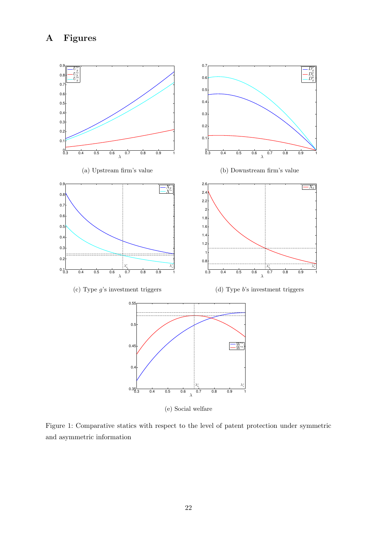## A Figures



(e) Social welfare

Figure 1: Comparative statics with respect to the level of patent protection under symmetric and asymmetric information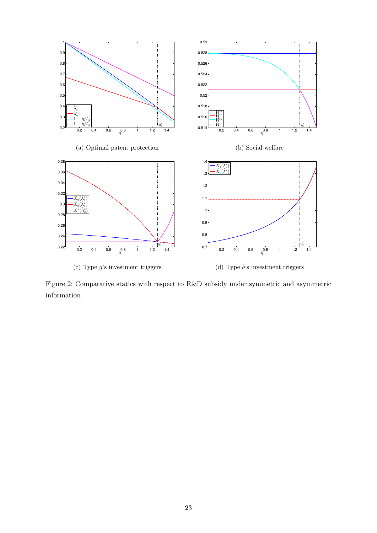

Figure 2: Comparative statics with respect to R&D subsidy under symmetric and asymmetric information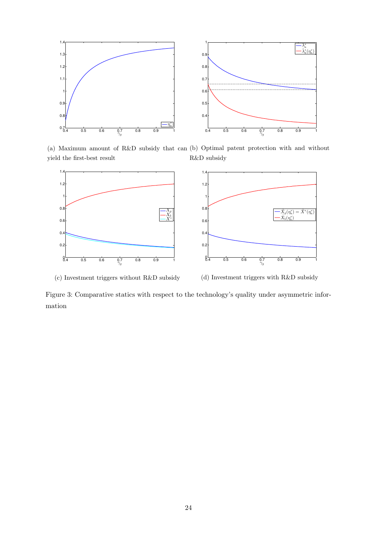

(a) Maximum amount of R&D subsidy that can (b) Optimal patent protection with and without yield the first-best result R&D subsidy



(c) Investment triggers without R&D subsidy

(d) Investment triggers with R&D subsidy

Figure 3: Comparative statics with respect to the technology's quality under asymmetric information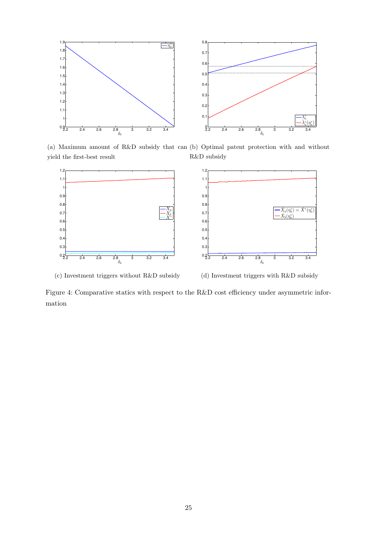

(a) Maximum amount of R&D subsidy that can (b) Optimal patent protection with and without yield the first-best result R&D subsidy



(c) Investment triggers without R&D subsidy

(d) Investment triggers with R&D subsidy

 $\hat{X}_g(\eta_a^*) = \hat{X}^*(\eta_a^*)$ <br>  $\hat{X}_b(\eta_a^*)$ 

Figure 4: Comparative statics with respect to the R&D cost efficiency under asymmetric information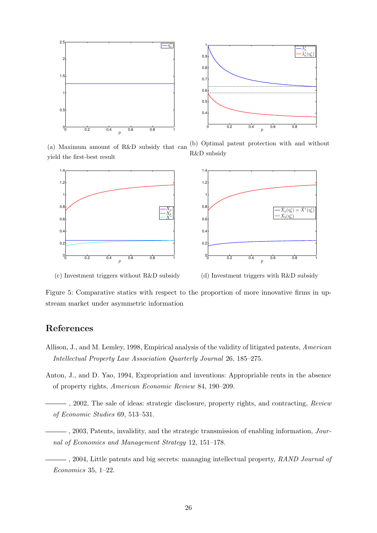

(a) Maximum amount of R&D subsidy that can yield the first-best result (b) Optimal patent protection with and without R&D subsidy





(c) Investment triggers without R&D subsidy

(d) Investment triggers with R&D subsidy

Figure 5: Comparative statics with respect to the proportion of more innovative firms in upstream market under asymmetric information

## References

- Allison, J., and M. Lemley, 1998, Empirical analysis of the validity of litigated patents, American Intellectual Property Law Association Quarterly Journal 26, 185–275.
- Anton, J., and D. Yao, 1994, Expropriation and inventions: Appropriable rents in the absence of property rights, American Economic Review 84, 190–209.
- $-$ , 2002, The sale of ideas: strategic disclosure, property rights, and contracting,  $Review$ of Economic Studies 69, 513–531.
- $-$ , 2003, Patents, invalidity, and the strategic transmission of enabling information, *Jour*nal of Economics and Management Strategy 12, 151–178.
- $-$ , 2004, Little patents and big secrets: managing intellectual property, RAND Journal of Economics 35, 1–22.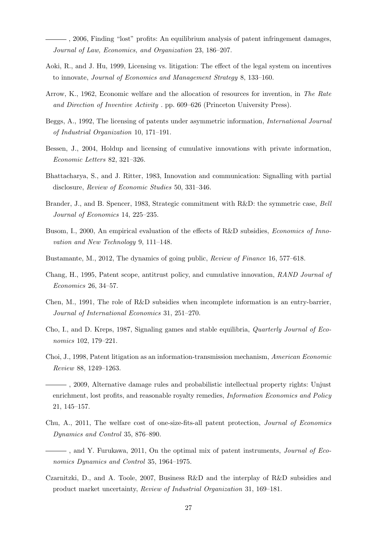$\frac{1}{1000}$ , 2006, Finding "lost" profits: An equilibrium analysis of patent infringement damages, Journal of Law, Economics, and Organization 23, 186–207.

- Aoki, R., and J. Hu, 1999, Licensing vs. litigation: The effect of the legal system on incentives to innovate, Journal of Economics and Management Strategy 8, 133–160.
- Arrow, K., 1962, Economic welfare and the allocation of resources for invention, in The Rate and Direction of Inventive Activity . pp. 609–626 (Princeton University Press).
- Beggs, A., 1992, The licensing of patents under asymmetric information, International Journal of Industrial Organization 10, 171–191.
- Bessen, J., 2004, Holdup and licensing of cumulative innovations with private information, Economic Letters 82, 321–326.
- Bhattacharya, S., and J. Ritter, 1983, Innovation and communication: Signalling with partial disclosure, Review of Economic Studies 50, 331–346.
- Brander, J., and B. Spencer, 1983, Strategic commitment with R&D: the symmetric case, Bell Journal of Economics 14, 225–235.
- Busom, I., 2000, An empirical evaluation of the effects of R&D subsidies, *Economics of Inno*vation and New Technology 9, 111–148.
- Bustamante, M., 2012, The dynamics of going public, Review of Finance 16, 577–618.
- Chang, H., 1995, Patent scope, antitrust policy, and cumulative innovation, RAND Journal of Economics 26, 34–57.
- Chen, M., 1991, The role of R&D subsidies when incomplete information is an entry-barrier, Journal of International Economics 31, 251–270.
- Cho, I., and D. Kreps, 1987, Signaling games and stable equilibria, Quarterly Journal of Economics 102, 179–221.
- Choi, J., 1998, Patent litigation as an information-transmission mechanism, American Economic Review 88, 1249–1263.

 $\overline{\phantom{a}}$ , 2009, Alternative damage rules and probabilistic intellectual property rights: Unjust enrichment, lost profits, and reasonable royalty remedies, *Information Economics and Policy* 21, 145–157.

- Chu, A., 2011, The welfare cost of one-size-fits-all patent protection, Journal of Economics Dynamics and Control 35, 876–890.
- $-$ , and Y. Furukawa, 2011, On the optimal mix of patent instruments, *Journal of Eco*nomics Dynamics and Control 35, 1964–1975.
- Czarnitzki, D., and A. Toole, 2007, Business R&D and the interplay of R&D subsidies and product market uncertainty, Review of Industrial Organization 31, 169–181.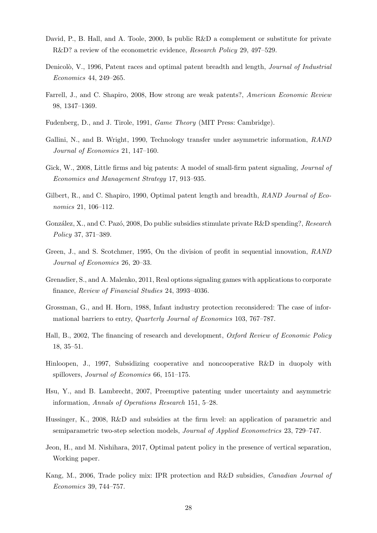- David, P., B. Hall, and A. Toole, 2000, Is public R&D a complement or substitute for private R&D? a review of the econometric evidence, Research Policy 29, 497–529.
- Denicolò, V., 1996, Patent races and optimal patent breadth and length, *Journal of Industrial* Economics 44, 249–265.
- Farrell, J., and C. Shapiro, 2008, How strong are weak patents?, American Economic Review 98, 1347–1369.
- Fudenberg, D., and J. Tirole, 1991, Game Theory (MIT Press: Cambridge).
- Gallini, N., and B. Wright, 1990, Technology transfer under asymmetric information, *RAND* Journal of Economics 21, 147–160.
- Gick, W., 2008, Little firms and big patents: A model of small-firm patent signaling, *Journal of* Economics and Management Strategy 17, 913–935.
- Gilbert, R., and C. Shapiro, 1990, Optimal patent length and breadth, RAND Journal of Economics 21, 106–112.
- González, X., and C. Pazó, 2008, Do public subsidies stimulate private  $R&D$  spending?, Research Policy 37, 371–389.
- Green, J., and S. Scotchmer, 1995, On the division of profit in sequential innovation, RAND Journal of Economics 26, 20–33.
- Grenadier, S., and A. Malenko, 2011, Real options signaling games with applications to corporate finance, Review of Financial Studies 24, 3993–4036.
- Grossman, G., and H. Horn, 1988, Infant industry protection reconsidered: The case of informational barriers to entry, Quarterly Journal of Economics 103, 767–787.
- Hall, B., 2002, The financing of research and development, *Oxford Review of Economic Policy* 18, 35–51.
- Hinloopen, J., 1997, Subsidizing cooperative and noncooperative R&D in duopoly with spillovers, Journal of Economics 66, 151–175.
- Hsu, Y., and B. Lambrecht, 2007, Preemptive patenting under uncertainty and asymmetric information, Annals of Operations Research 151, 5–28.
- Hussinger, K., 2008, R&D and subsidies at the firm level: an application of parametric and semiparametric two-step selection models, Journal of Applied Econometrics 23, 729–747.
- Jeon, H., and M. Nishihara, 2017, Optimal patent policy in the presence of vertical separation, Working paper.
- Kang, M., 2006, Trade policy mix: IPR protection and R&D subsidies, Canadian Journal of Economics 39, 744–757.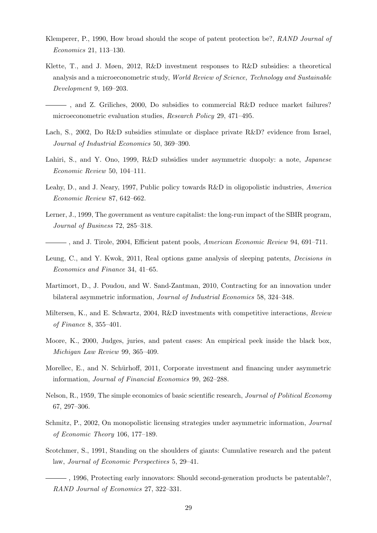- Klemperer, P., 1990, How broad should the scope of patent protection be?, RAND Journal of Economics 21, 113–130.
- Klette, T., and J. Møen, 2012, R&D investment responses to R&D subsidies: a theoretical analysis and a microeconometric study, World Review of Science, Technology and Sustainable Development 9, 169–203.
- , and Z. Griliches, 2000, Do subsidies to commercial R&D reduce market failures? microeconometric evaluation studies, Research Policy 29, 471–495.
- Lach, S., 2002, Do R&D subsidies stimulate or displace private R&D? evidence from Israel, Journal of Industrial Economics 50, 369–390.
- Lahiri, S., and Y. Ono, 1999, R&D subsidies under asymmetric duopoly: a note, *Japanese* Economic Review 50, 104–111.
- Leahy, D., and J. Neary, 1997, Public policy towards R&D in oligopolistic industries, America Economic Review 87, 642–662.
- Lerner, J., 1999, The government as venture capitalist: the long-run impact of the SBIR program, Journal of Business 72, 285–318.
- , and J. Tirole, 2004, Efficient patent pools, American Economic Review 94, 691–711.
- Leung, C., and Y. Kwok, 2011, Real options game analysis of sleeping patents, Decisions in Economics and Finance 34, 41–65.
- Martimort, D., J. Poudou, and W. Sand-Zantman, 2010, Contracting for an innovation under bilateral asymmetric information, Journal of Industrial Economics 58, 324–348.
- Miltersen, K., and E. Schwartz, 2004, R&D investments with competitive interactions, Review of Finance 8, 355–401.
- Moore, K., 2000, Judges, juries, and patent cases: An empirical peek inside the black box, Michigan Law Review 99, 365–409.
- Morellec, E., and N. Schürhoff, 2011, Corporate investment and financing under asymmetric information, Journal of Financial Economics 99, 262–288.
- Nelson, R., 1959, The simple economics of basic scientific research, Journal of Political Economy 67, 297–306.
- Schmitz, P., 2002, On monopolistic licensing strategies under asymmetric information, Journal of Economic Theory 106, 177–189.
- Scotchmer, S., 1991, Standing on the shoulders of giants: Cumulative research and the patent law, Journal of Economic Perspectives 5, 29–41.
- $\longrightarrow$ , 1996, Protecting early innovators: Should second-generation products be patentable?, RAND Journal of Economics 27, 322–331.